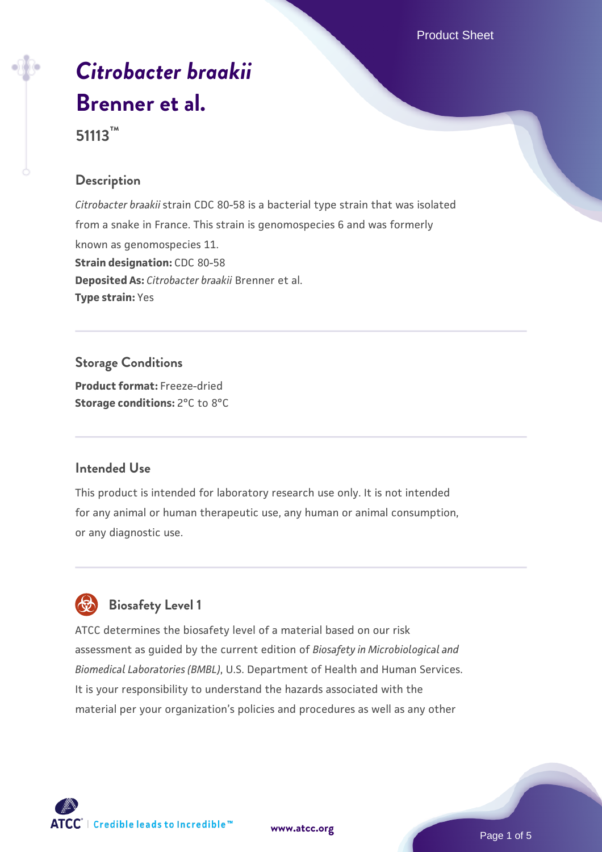Product Sheet

# *[Citrobacter braakii](https://www.atcc.org/products/51113)* **[Brenner et al.](https://www.atcc.org/products/51113)**

**51113™**

#### **Description**

*Citrobacter braakii* strain CDC 80-58 is a bacterial type strain that was isolated from a snake in France. This strain is genomospecies 6 and was formerly known as genomospecies 11. **Strain designation:** CDC 80-58 **Deposited As:** *Citrobacter braakii* Brenner et al. **Type strain:** Yes

**Storage Conditions Product format:** Freeze-dried **Storage conditions:** 2°C to 8°C

#### **Intended Use**

This product is intended for laboratory research use only. It is not intended for any animal or human therapeutic use, any human or animal consumption, or any diagnostic use.



# **Biosafety Level 1**

ATCC determines the biosafety level of a material based on our risk assessment as guided by the current edition of *Biosafety in Microbiological and Biomedical Laboratories (BMBL)*, U.S. Department of Health and Human Services. It is your responsibility to understand the hazards associated with the material per your organization's policies and procedures as well as any other



**[www.atcc.org](http://www.atcc.org)**

Page 1 of 5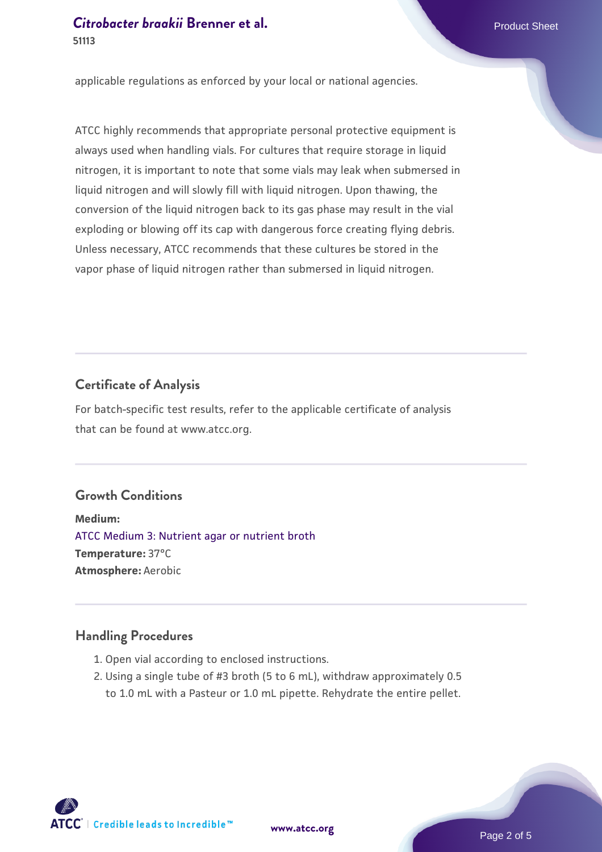applicable regulations as enforced by your local or national agencies.

ATCC highly recommends that appropriate personal protective equipment is always used when handling vials. For cultures that require storage in liquid nitrogen, it is important to note that some vials may leak when submersed in liquid nitrogen and will slowly fill with liquid nitrogen. Upon thawing, the conversion of the liquid nitrogen back to its gas phase may result in the vial exploding or blowing off its cap with dangerous force creating flying debris. Unless necessary, ATCC recommends that these cultures be stored in the vapor phase of liquid nitrogen rather than submersed in liquid nitrogen.

#### **Certificate of Analysis**

For batch-specific test results, refer to the applicable certificate of analysis that can be found at www.atcc.org.

#### **Growth Conditions**

**Medium:**  [ATCC Medium 3: Nutrient agar or nutrient broth](https://www.atcc.org/-/media/product-assets/documents/microbial-media-formulations/3/atcc-medium-3.pdf?rev=7510837507e64d849c62a46b5b2197a1) **Temperature:** 37°C **Atmosphere:** Aerobic

#### **Handling Procedures**

- 1. Open vial according to enclosed instructions.
- 2. Using a single tube of #3 broth (5 to 6 mL), withdraw approximately 0.5 to 1.0 mL with a Pasteur or 1.0 mL pipette. Rehydrate the entire pellet.

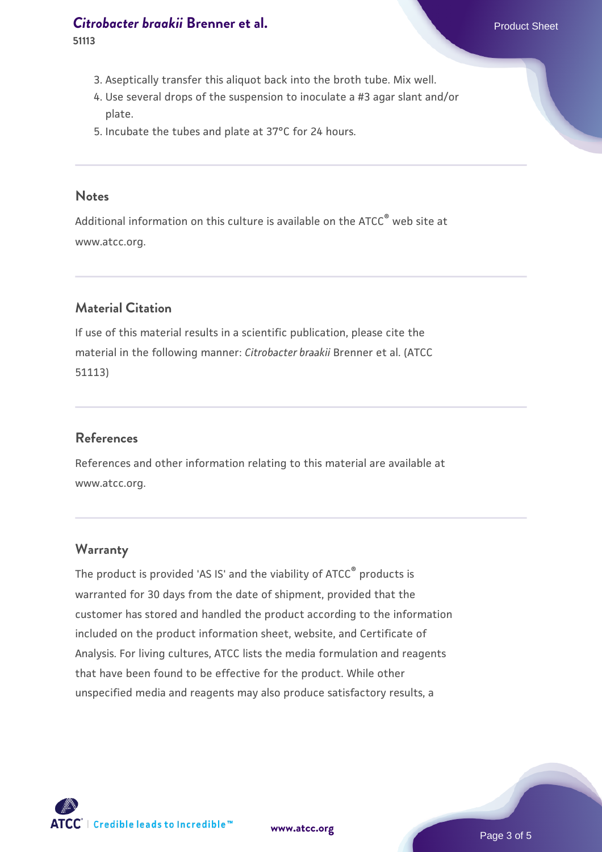## **[Citrobacter braakii](https://www.atcc.org/products/51113) Brenner et al.** Product Sheet

**51113**

- 3. Aseptically transfer this aliquot back into the broth tube. Mix well.
- Use several drops of the suspension to inoculate a #3 agar slant and/or 4. plate.
- 5. Incubate the tubes and plate at 37°C for 24 hours.

#### **Notes**

Additional information on this culture is available on the ATCC® web site at www.atcc.org.

## **Material Citation**

If use of this material results in a scientific publication, please cite the material in the following manner: *Citrobacter braakii* Brenner et al. (ATCC 51113)

## **References**

References and other information relating to this material are available at www.atcc.org.

#### **Warranty**

The product is provided 'AS IS' and the viability of ATCC® products is warranted for 30 days from the date of shipment, provided that the customer has stored and handled the product according to the information included on the product information sheet, website, and Certificate of Analysis. For living cultures, ATCC lists the media formulation and reagents that have been found to be effective for the product. While other unspecified media and reagents may also produce satisfactory results, a



**[www.atcc.org](http://www.atcc.org)**

Page 3 of 5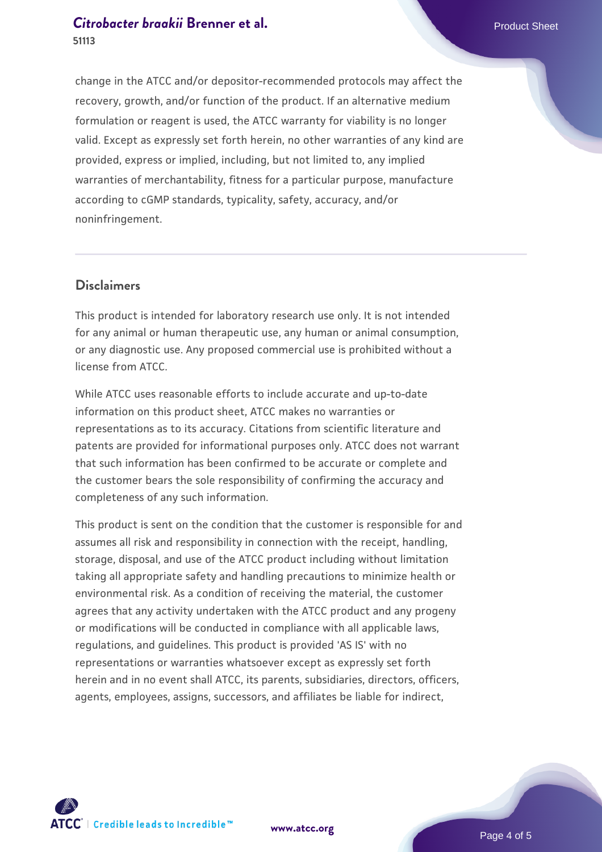## **[Citrobacter braakii](https://www.atcc.org/products/51113) Brenner et al.** Product Sheet **51113**

change in the ATCC and/or depositor-recommended protocols may affect the recovery, growth, and/or function of the product. If an alternative medium formulation or reagent is used, the ATCC warranty for viability is no longer valid. Except as expressly set forth herein, no other warranties of any kind are provided, express or implied, including, but not limited to, any implied warranties of merchantability, fitness for a particular purpose, manufacture according to cGMP standards, typicality, safety, accuracy, and/or noninfringement.

## **Disclaimers**

This product is intended for laboratory research use only. It is not intended for any animal or human therapeutic use, any human or animal consumption, or any diagnostic use. Any proposed commercial use is prohibited without a license from ATCC.

While ATCC uses reasonable efforts to include accurate and up-to-date information on this product sheet, ATCC makes no warranties or representations as to its accuracy. Citations from scientific literature and patents are provided for informational purposes only. ATCC does not warrant that such information has been confirmed to be accurate or complete and the customer bears the sole responsibility of confirming the accuracy and completeness of any such information.

This product is sent on the condition that the customer is responsible for and assumes all risk and responsibility in connection with the receipt, handling, storage, disposal, and use of the ATCC product including without limitation taking all appropriate safety and handling precautions to minimize health or environmental risk. As a condition of receiving the material, the customer agrees that any activity undertaken with the ATCC product and any progeny or modifications will be conducted in compliance with all applicable laws, regulations, and guidelines. This product is provided 'AS IS' with no representations or warranties whatsoever except as expressly set forth herein and in no event shall ATCC, its parents, subsidiaries, directors, officers, agents, employees, assigns, successors, and affiliates be liable for indirect,



**[www.atcc.org](http://www.atcc.org)**

Page 4 of 5